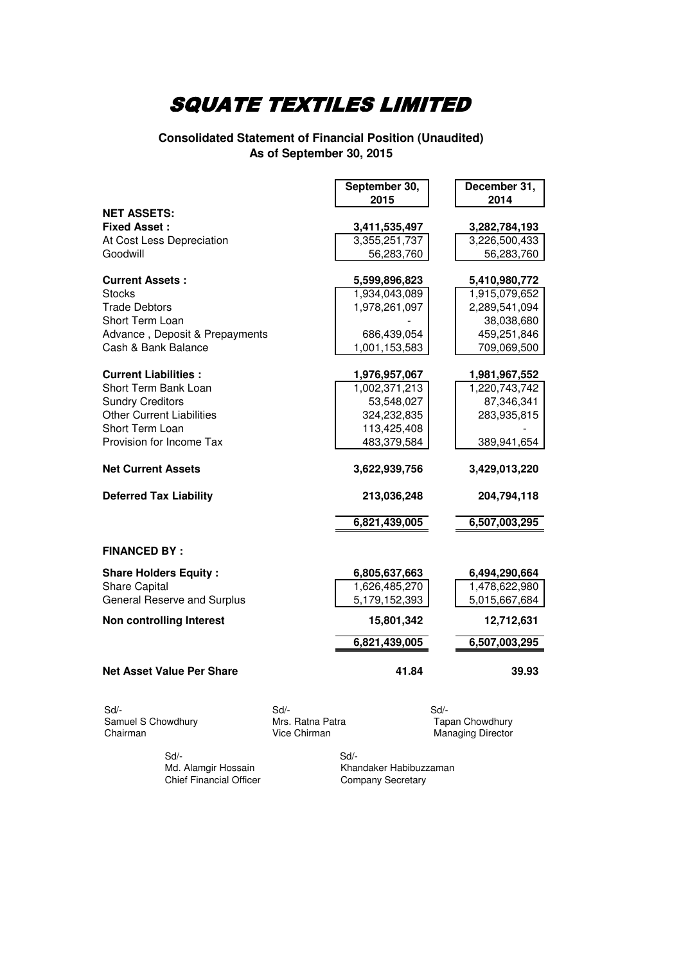#### **Consolidated Statement of Financial Position (Unaudited) As of September 30, 2015**

|                                  |      | September 30, |      | December 31,  |
|----------------------------------|------|---------------|------|---------------|
|                                  |      | 2015          |      | 2014          |
| <b>NET ASSETS:</b>               |      |               |      |               |
| <b>Fixed Asset:</b>              |      | 3,411,535,497 |      | 3,282,784,193 |
| At Cost Less Depreciation        |      | 3,355,251,737 |      | 3,226,500,433 |
| Goodwill                         |      | 56,283,760    |      | 56,283,760    |
| <b>Current Assets:</b>           |      | 5,599,896,823 |      | 5,410,980,772 |
| <b>Stocks</b>                    |      | 1,934,043,089 |      | 1,915,079,652 |
| <b>Trade Debtors</b>             |      | 1,978,261,097 |      | 2,289,541,094 |
| Short Term Loan                  |      |               |      | 38,038,680    |
| Advance, Deposit & Prepayments   |      | 686,439,054   |      | 459,251,846   |
| Cash & Bank Balance              |      | 1,001,153,583 |      | 709,069,500   |
|                                  |      |               |      |               |
| <b>Current Liabilities:</b>      |      | 1,976,957,067 |      | 1,981,967,552 |
| Short Term Bank Loan             |      | 1,002,371,213 |      | 1,220,743,742 |
| <b>Sundry Creditors</b>          |      | 53,548,027    |      | 87,346,341    |
| <b>Other Current Liabilities</b> |      | 324,232,835   |      | 283,935,815   |
| Short Term Loan                  |      | 113,425,408   |      |               |
| Provision for Income Tax         |      | 483,379,584   |      | 389,941,654   |
| <b>Net Current Assets</b>        |      | 3,622,939,756 |      | 3,429,013,220 |
|                                  |      |               |      |               |
| <b>Deferred Tax Liability</b>    |      | 213,036,248   |      | 204,794,118   |
|                                  |      | 6,821,439,005 |      | 6,507,003,295 |
| <b>FINANCED BY:</b>              |      |               |      |               |
| <b>Share Holders Equity:</b>     |      | 6,805,637,663 |      | 6,494,290,664 |
| <b>Share Capital</b>             |      | 1,626,485,270 |      | 1,478,622,980 |
| General Reserve and Surplus      |      | 5,179,152,393 |      | 5,015,667,684 |
| <b>Non controlling Interest</b>  |      | 15,801,342    |      | 12,712,631    |
|                                  |      | 6,821,439,005 |      | 6,507,003,295 |
| <b>Net Asset Value Per Share</b> |      | 41.84         |      | 39.93         |
| Sd/-                             | Sd/- |               | Sd/- |               |
| $\sim$ $\sim$                    |      |               |      |               |

Samuel S Chowdhury **Mrs. Ratna Patra Chowdhury Chairman** Tapan Chowdhury<br>
Vice Chirman Managing Director

Managing Director

Sd/- Sd/-

Khandaker Habibuzzaman<br>Company Secretary Chief Financial Officer Company Secretary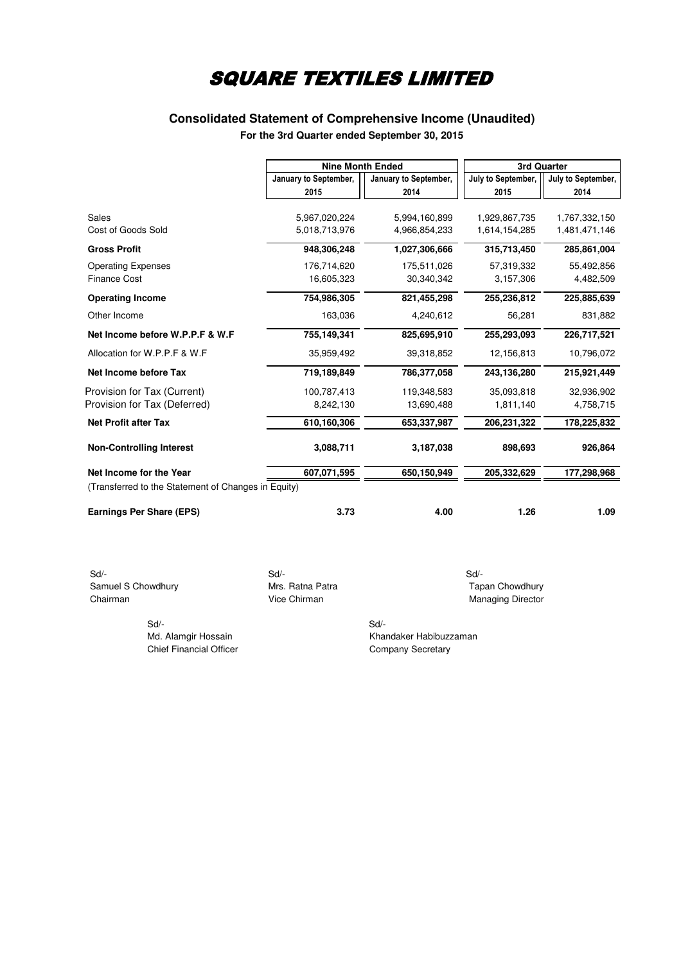### **Consolidated Statement of Comprehensive Income (Unaudited) For the 3rd Quarter ended September 30, 2015**

|                                                     |                       | <b>Nine Month Ended</b> | 3rd Quarter        |                    |  |
|-----------------------------------------------------|-----------------------|-------------------------|--------------------|--------------------|--|
|                                                     | January to September, | January to September,   | July to September, | July to September, |  |
|                                                     | 2015                  | 2014                    | 2015               | 2014               |  |
|                                                     |                       |                         |                    |                    |  |
| Sales                                               | 5,967,020,224         | 5,994,160,899           | 1,929,867,735      | 1,767,332,150      |  |
| Cost of Goods Sold                                  | 5,018,713,976         | 4,966,854,233           | 1,614,154,285      | 1,481,471,146      |  |
| <b>Gross Profit</b>                                 | 948,306,248           | 1,027,306,666           | 315,713,450        | 285,861,004        |  |
| <b>Operating Expenses</b>                           | 176,714,620           | 175,511,026             | 57,319,332         | 55,492,856         |  |
| <b>Finance Cost</b>                                 | 16,605,323            | 30,340,342              | 3,157,306          | 4,482,509          |  |
| <b>Operating Income</b>                             | 754,986,305           | 821,455,298             | 255,236,812        | 225,885,639        |  |
| Other Income                                        | 163,036               | 4,240,612               | 56,281             | 831,882            |  |
| Net Income before W.P.P.F & W.F                     | 755,149,341           | 825,695,910             | 255,293,093        | 226,717,521        |  |
| Allocation for W.P.P.F & W.F                        | 35,959,492            | 39,318,852              | 12,156,813         | 10,796,072         |  |
| Net Income before Tax                               | 719,189,849           | 786,377,058             | 243,136,280        | 215,921,449        |  |
| Provision for Tax (Current)                         | 100,787,413           | 119,348,583             | 35,093,818         | 32,936,902         |  |
| Provision for Tax (Deferred)                        | 8,242,130             | 13,690,488              | 1,811,140          | 4,758,715          |  |
| <b>Net Profit after Tax</b>                         | 610,160,306           | 653,337,987             | 206,231,322        | 178,225,832        |  |
| <b>Non-Controlling Interest</b>                     | 3,088,711             | 3,187,038               | 898,693            | 926,864            |  |
| Net Income for the Year                             | 607,071,595           | 650,150,949             | 205,332,629        | 177,298,968        |  |
| (Transferred to the Statement of Changes in Equity) |                       |                         |                    |                    |  |
| <b>Earnings Per Share (EPS)</b>                     | 3.73                  | 4.00                    | 1.26               | 1.09               |  |

 Sd/- Sd/- Sd/- Samuel S Chowdhury **Mrs. Ratna Patra Mrs.** Ratna Patra **Tapan Chowdhury** Chairman Chowdhury Chairman Chowdhury Chairman

Sd/- Sd/-

Managing Director

Md. Alamgir Hossain Khandaker Habibuzzaman Chief Financial Officer Chief Financial Officer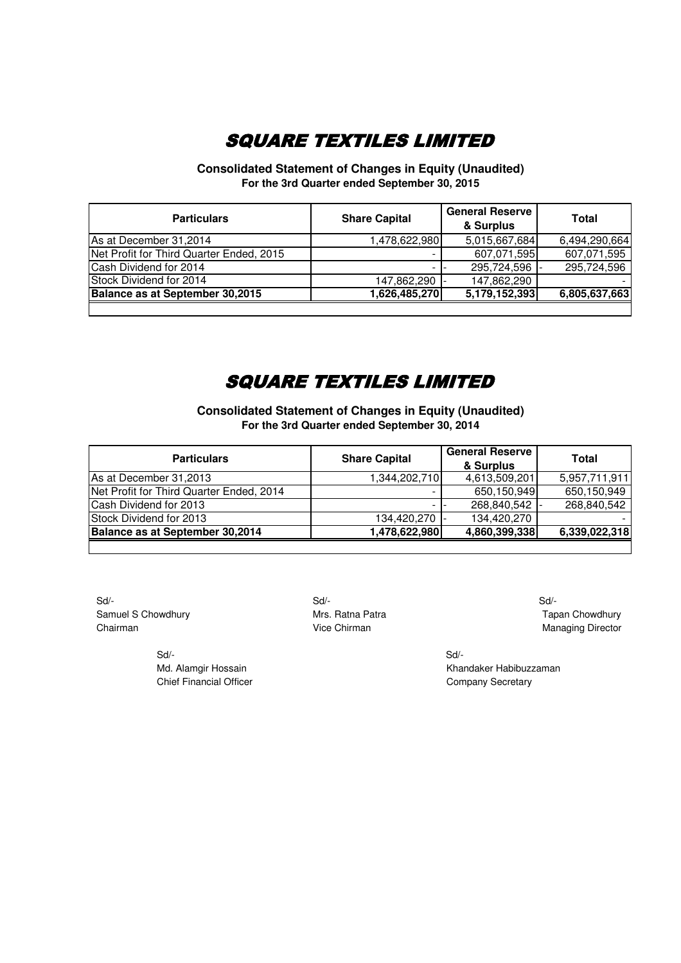**Consolidated Statement of Changes in Equity (Unaudited) For the 3rd Quarter ended September 30, 2015**

| <b>Particulars</b>                       | <b>Share Capital</b> | <b>General Reserve</b><br>& Surplus | Total         |
|------------------------------------------|----------------------|-------------------------------------|---------------|
| As at December 31,2014                   | 1,478,622,980        | 5,015,667,684                       | 6,494,290,664 |
| Net Profit for Third Quarter Ended, 2015 |                      | 607,071,595                         | 607,071,595   |
| Cash Dividend for 2014                   |                      | 295,724,596                         | 295,724,596   |
| Stock Dividend for 2014                  | 147,862,290          | 147,862,290                         |               |
| Balance as at September 30,2015          | 1,626,485,270        | 5,179,152,393                       | 6,805,637,663 |

### SQUARE TEXTILES LIMITED

**Consolidated Statement of Changes in Equity (Unaudited) For the 3rd Quarter ended September 30, 2014**

| <b>Particulars</b>                       | <b>Share Capital</b> | <b>General Reserve</b><br>& Surplus | <b>Total</b>  |
|------------------------------------------|----------------------|-------------------------------------|---------------|
| As at December 31,2013                   | 1,344,202,710        | 4,613,509,201                       | 5,957,711,911 |
| Net Profit for Third Quarter Ended, 2014 |                      | 650,150,949                         | 650,150,949   |
| Cash Dividend for 2013                   |                      | 268,840,542                         | 268,840,542   |
| Stock Dividend for 2013                  | 134,420,270 -        | 134,420,270                         |               |
| Balance as at September 30,2014          | 1,478,622,980        | 4,860,399,338                       | 6,339,022,318 |
|                                          |                      |                                     |               |

 Sd/- Sd/- Sd/- Samuel S Chowdhury **Mrs. Ratna Patra** Mrs. Ratna Patra Tapan Chowdhury Chairman **Chairman** Vice Chirman **Vice Chirman** Managing Director

 Sd/- Sd/- Chief Financial Officer Chief Financial Officer Company Secretary

Md. Alamgir Hossain Khandaker Habibuzzaman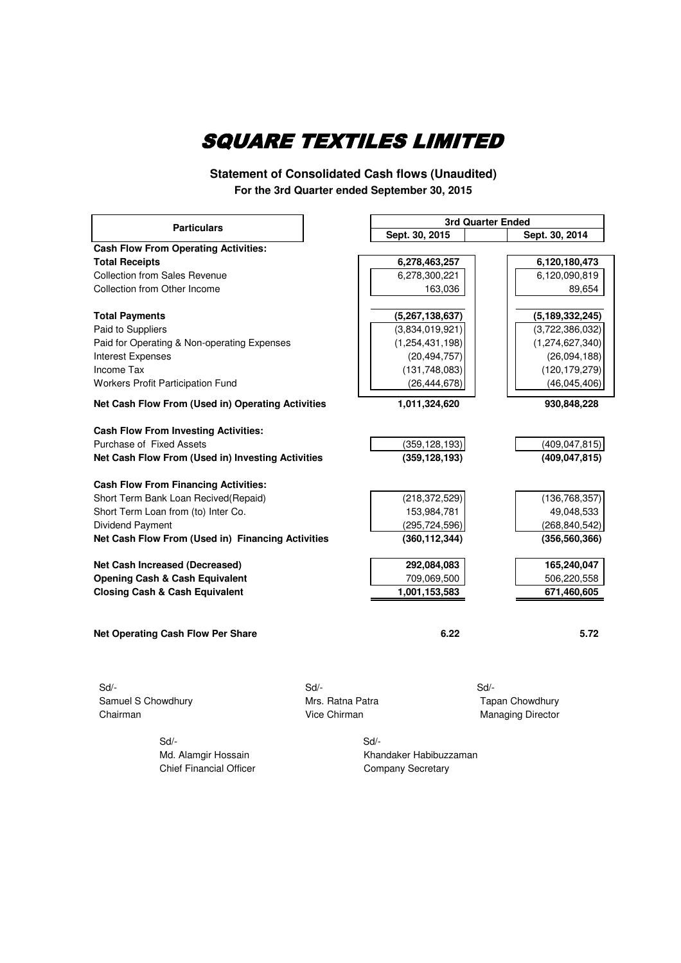**Statement of Consolidated Cash flows (Unaudited) For the 3rd Quarter ended September 30, 2015**

|                                                   |                  | 3rd Quarter Ended      |                          |                    |
|---------------------------------------------------|------------------|------------------------|--------------------------|--------------------|
| <b>Particulars</b>                                |                  | Sept. 30, 2015         |                          | Sept. 30, 2014     |
| <b>Cash Flow From Operating Activities:</b>       |                  |                        |                          |                    |
| <b>Total Receipts</b>                             |                  | 6,278,463,257          |                          | 6,120,180,473      |
| <b>Collection from Sales Revenue</b>              |                  | 6,278,300,221          |                          | 6,120,090,819      |
| Collection from Other Income                      |                  | 163,036                |                          | 89,654             |
|                                                   |                  |                        |                          |                    |
| <b>Total Payments</b>                             |                  | (5,267,138,637)        |                          | (5, 189, 332, 245) |
| Paid to Suppliers                                 |                  | (3,834,019,921)        |                          | (3,722,386,032)    |
| Paid for Operating & Non-operating Expenses       |                  | (1, 254, 431, 198)     |                          | (1,274,627,340)    |
| <b>Interest Expenses</b>                          |                  | (20, 494, 757)         |                          | (26,094,188)       |
| Income Tax                                        |                  | (131, 748, 083)        |                          | (120, 179, 279)    |
| Workers Profit Participation Fund                 |                  | (26, 444, 678)         |                          | (46,045,406)       |
| Net Cash Flow From (Used in) Operating Activities |                  | 1,011,324,620          |                          | 930,848,228        |
| <b>Cash Flow From Investing Activities:</b>       |                  |                        |                          |                    |
| Purchase of Fixed Assets                          |                  | (359, 128, 193)        |                          | (409, 047, 815)    |
| Net Cash Flow From (Used in) Investing Activities |                  | (359, 128, 193)        |                          | (409, 047, 815)    |
|                                                   |                  |                        |                          |                    |
| <b>Cash Flow From Financing Activities:</b>       |                  |                        |                          |                    |
| Short Term Bank Loan Recived(Repaid)              |                  | (218, 372, 529)        |                          | (136, 768, 357)    |
| Short Term Loan from (to) Inter Co.               |                  | 153,984,781            |                          | 49,048,533         |
| <b>Dividend Payment</b>                           |                  | (295, 724, 596)        |                          | (268, 840, 542)    |
| Net Cash Flow From (Used in) Financing Activities |                  | (360, 112, 344)        |                          | (356, 560, 366)    |
| Net Cash Increased (Decreased)                    |                  | 292,084,083            |                          | 165,240,047        |
| <b>Opening Cash &amp; Cash Equivalent</b>         |                  | 709,069,500            |                          | 506,220,558        |
| <b>Closing Cash &amp; Cash Equivalent</b>         |                  | 1,001,153,583          |                          | 671,460,605        |
|                                                   |                  |                        |                          |                    |
| <b>Net Operating Cash Flow Per Share</b>          |                  | 6.22                   |                          | 5.72               |
|                                                   |                  |                        |                          |                    |
|                                                   |                  |                        |                          |                    |
| $Sd$ -                                            | $Sd$ -           |                        | $Sd$ -                   |                    |
| Samuel S Chowdhury                                | Mrs. Ratna Patra |                        | <b>Tapan Chowdhury</b>   |                    |
| Chairman                                          | Vice Chirman     |                        | <b>Managing Director</b> |                    |
| Sd/-                                              |                  | $Sd$ -                 |                          |                    |
| Md. Alamgir Hossain                               |                  | Khandaker Habibuzzaman |                          |                    |
|                                                   |                  |                        |                          |                    |

Chief Financial Officer Chief Financial Officer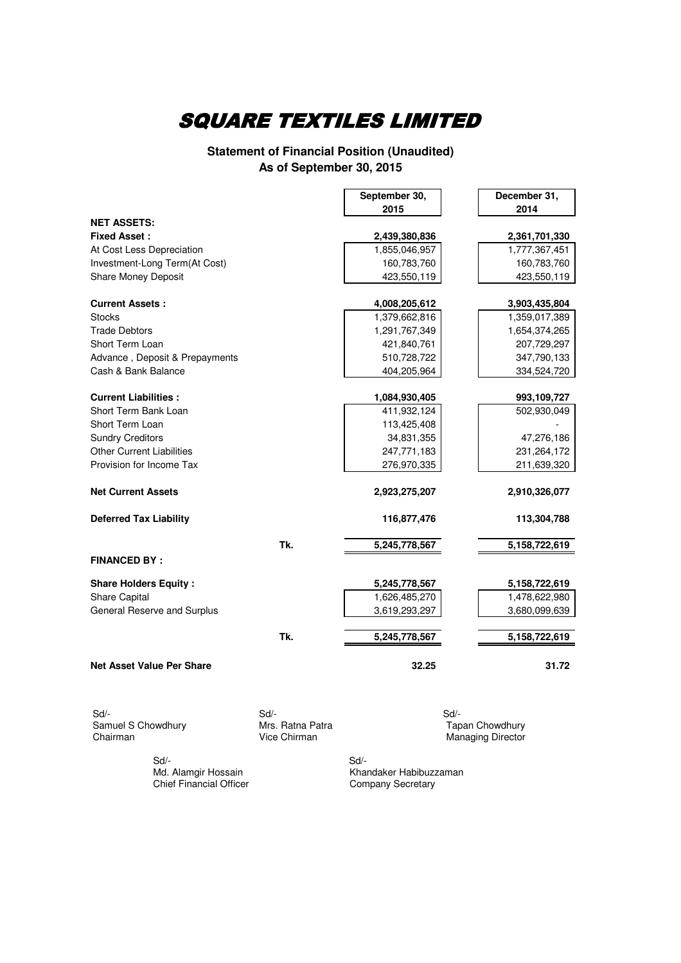#### **Statement of Financial Position (Unaudited) As of September 30, 2015**

|                                  |                        | September 30, | December 31,             |
|----------------------------------|------------------------|---------------|--------------------------|
|                                  |                        | 2015          | 2014                     |
| <b>NET ASSETS:</b>               |                        |               |                          |
| <b>Fixed Asset:</b>              |                        | 2,439,380,836 | 2,361,701,330            |
| At Cost Less Depreciation        |                        | 1,855,046,957 | 1,777,367,451            |
| Investment-Long Term(At Cost)    |                        | 160,783,760   | 160,783,760              |
| <b>Share Money Deposit</b>       |                        | 423,550,119   | 423,550,119              |
|                                  |                        |               |                          |
| <b>Current Assets:</b>           |                        | 4,008,205,612 | 3,903,435,804            |
| <b>Stocks</b>                    |                        | 1,379,662,816 | 1,359,017,389            |
| <b>Trade Debtors</b>             |                        | 1,291,767,349 | 1,654,374,265            |
| Short Term Loan                  |                        | 421,840,761   | 207,729,297              |
| Advance, Deposit & Prepayments   |                        | 510,728,722   | 347,790,133              |
| Cash & Bank Balance              |                        | 404,205,964   | 334,524,720              |
| <b>Current Liabilities:</b>      |                        | 1,084,930,405 | 993,109,727              |
| Short Term Bank Loan             |                        | 411,932,124   | 502,930,049              |
| Short Term Loan                  |                        | 113,425,408   |                          |
| <b>Sundry Creditors</b>          |                        | 34,831,355    | 47,276,186               |
| <b>Other Current Liabilities</b> |                        | 247,771,183   | 231,264,172              |
| Provision for Income Tax         |                        | 276,970,335   | 211,639,320              |
|                                  |                        |               |                          |
| <b>Net Current Assets</b>        |                        | 2,923,275,207 | 2,910,326,077            |
| <b>Deferred Tax Liability</b>    |                        | 116,877,476   | 113,304,788              |
|                                  | Tk.                    | 5,245,778,567 | 5,158,722,619            |
| <b>FINANCED BY:</b>              |                        |               |                          |
|                                  |                        |               |                          |
| <b>Share Holders Equity:</b>     |                        | 5,245,778,567 | 5,158,722,619            |
| <b>Share Capital</b>             |                        | 1,626,485,270 | 1,478,622,980            |
| General Reserve and Surplus      |                        | 3,619,293,297 | 3,680,099,639            |
|                                  |                        |               |                          |
|                                  | Tk.                    | 5,245,778,567 | 5,158,722,619            |
| Net Asset Value Per Share        |                        | 32.25         | 31.72                    |
| Sd/-<br>Samuel S Chowdhury       | Sd<br>Mrs. Ratna Patra | Sd            | <b>Tapan Chowdhury</b>   |
| Chairman                         | Vice Chirman           |               | <b>Managing Director</b> |

 Sd/- Sd/- Chief Financial Officer

Md. Alamgir Hossain Khandaker Habibuzzaman<br>Chief Financial Officer Company Secretary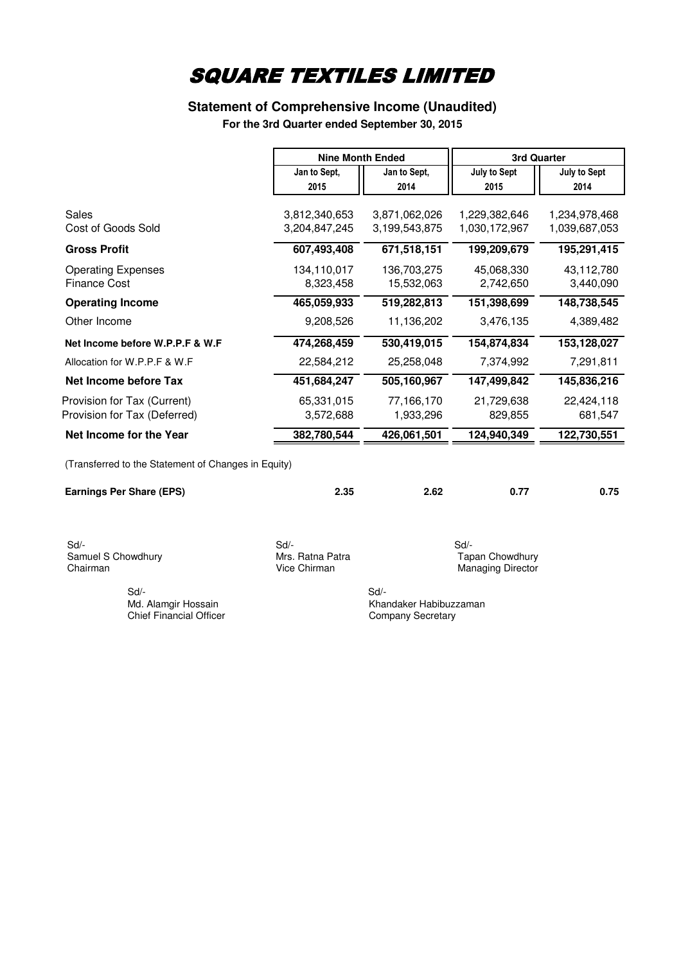#### **Statement of Comprehensive Income (Unaudited)**

**For the 3rd Quarter ended September 30, 2015**

|                                                             | <b>Nine Month Ended</b>          |                           | <b>3rd Quarter</b>                                 |                         |  |
|-------------------------------------------------------------|----------------------------------|---------------------------|----------------------------------------------------|-------------------------|--|
|                                                             | Jan to Sept,                     | Jan to Sept,              | <b>July to Sept</b>                                | July to Sept            |  |
|                                                             | 2015                             | 2014                      | 2015                                               | 2014                    |  |
| <b>Sales</b>                                                | 3,812,340,653                    | 3,871,062,026             | 1,229,382,646                                      | 1,234,978,468           |  |
| <b>Cost of Goods Sold</b>                                   | 3,204,847,245                    | 3,199,543,875             | 1,030,172,967                                      | 1,039,687,053           |  |
| <b>Gross Profit</b>                                         | 607,493,408                      | 671,518,151               | 199,209,679                                        | 195,291,415             |  |
| <b>Operating Expenses</b><br><b>Finance Cost</b>            | 134,110,017<br>8,323,458         | 136,703,275<br>15,532,063 | 45,068,330<br>2,742,650                            | 43,112,780<br>3,440,090 |  |
| <b>Operating Income</b>                                     | 465,059,933                      | 519,282,813               | 151,398,699                                        | 148,738,545             |  |
| Other Income                                                | 9,208,526                        | 11,136,202                | 3,476,135                                          | 4,389,482               |  |
| Net Income before W.P.P.F & W.F                             | 474,268,459                      | 530,419,015               | 154,874,834                                        | 153,128,027             |  |
| Allocation for W.P.P.F & W.F                                | 22,584,212                       | 25,258,048                | 7,374,992                                          | 7,291,811               |  |
| Net Income before Tax                                       | 451,684,247                      | 505,160,967               | 147,499,842                                        | 145,836,216             |  |
| Provision for Tax (Current)<br>Provision for Tax (Deferred) | 65,331,015<br>3,572,688          | 77,166,170<br>1,933,296   | 21,729,638<br>829,855                              | 22,424,118<br>681,547   |  |
| Net Income for the Year                                     | 382,780,544                      | 426,061,501               | 124,940,349                                        | 122,730,551             |  |
| (Transferred to the Statement of Changes in Equity)         |                                  |                           |                                                    |                         |  |
| <b>Earnings Per Share (EPS)</b>                             | 2.35                             | 2.62                      | 0.77                                               | 0.75                    |  |
| Sd/-                                                        | Sd/-                             |                           | Sd/-                                               |                         |  |
| Samuel S Chowdhury<br>Chairman                              | Mrs. Ratna Patra<br>Vice Chirman |                           | <b>Tapan Chowdhury</b><br><b>Managing Director</b> |                         |  |

 Sd/- Sd/- Chief Financial Officer

Md. Alamgir Hossain Khandaker Habibuzzaman<br>
Chief Financial Officer Chief Company Secretary

Managing Director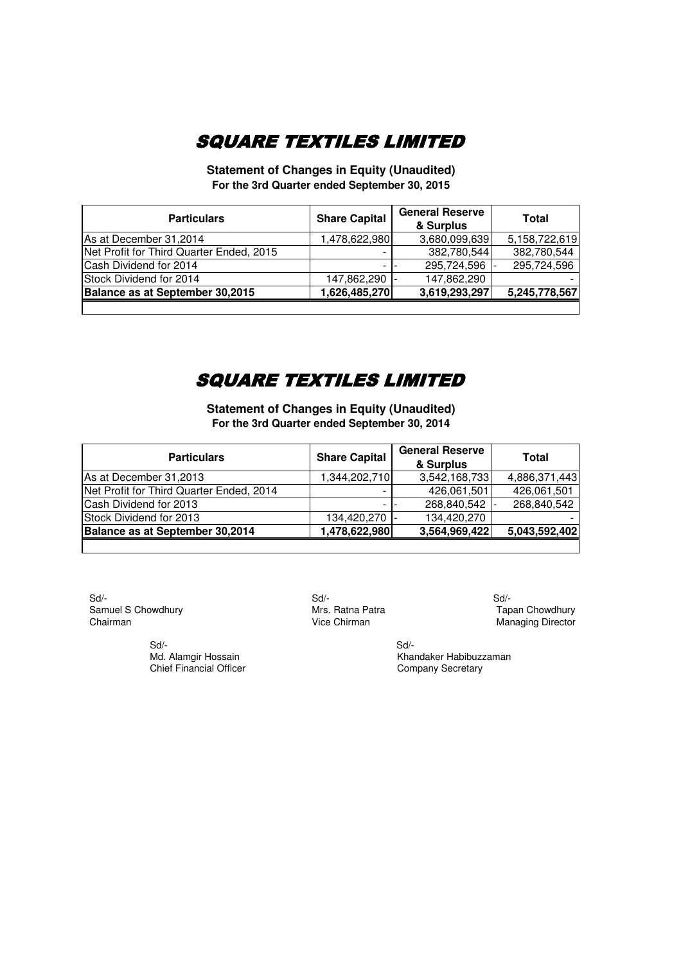**Statement of Changes in Equity (Unaudited) For the 3rd Quarter ended September 30, 2015**

| <b>Particulars</b>                       | <b>Share Capital</b> | <b>General Reserve</b><br>& Surplus | Total         |
|------------------------------------------|----------------------|-------------------------------------|---------------|
| As at December 31,2014                   | ,478,622,980         | 3,680,099,639                       | 5,158,722,619 |
| Net Profit for Third Quarter Ended, 2015 |                      | 382,780,544                         | 382,780,544   |
| Cash Dividend for 2014                   |                      | 295,724,596                         | 295,724,596   |
| Stock Dividend for 2014                  | 147,862,290          | 147,862,290                         |               |
| Balance as at September 30,2015          | 1,626,485,270        | 3,619,293,297                       | 5,245,778,567 |
|                                          |                      |                                     |               |

### SQUARE TEXTILES LIMITED

**Statement of Changes in Equity (Unaudited) For the 3rd Quarter ended September 30, 2014**

| <b>Particulars</b>                       | <b>Share Capital</b> | <b>General Reserve</b><br>& Surplus | Total         |
|------------------------------------------|----------------------|-------------------------------------|---------------|
| As at December 31,2013                   | 1,344,202,710        | 3,542,168,733                       | 4,886,371,443 |
| Net Profit for Third Quarter Ended, 2014 |                      | 426,061,501                         | 426,061,501   |
| Cash Dividend for 2013                   |                      | 268,840,542                         | 268,840,542   |
| Stock Dividend for 2013                  | 134,420,270 -        | 134,420,270                         |               |
| Balance as at September 30,2014          | 1,478,622,980        | 3,564,969,422                       | 5,043,592,402 |
|                                          |                      |                                     |               |

 Sd/- Sd/- Sd/- Samuel S Chowdhury **Samuel S Chowdhury** Mrs. Ratna Patra **Tapan Chowdhury Chairman** Chairman Chowdhury Chairman Chowdhury Chairman Managing Director

 Sd/- Sd/- Chief Financial Officer

Managing Director

Md. Alamgir Hossain Khandaker Habibuzzaman<br>
Chief Financial Officer Chief Company Secretary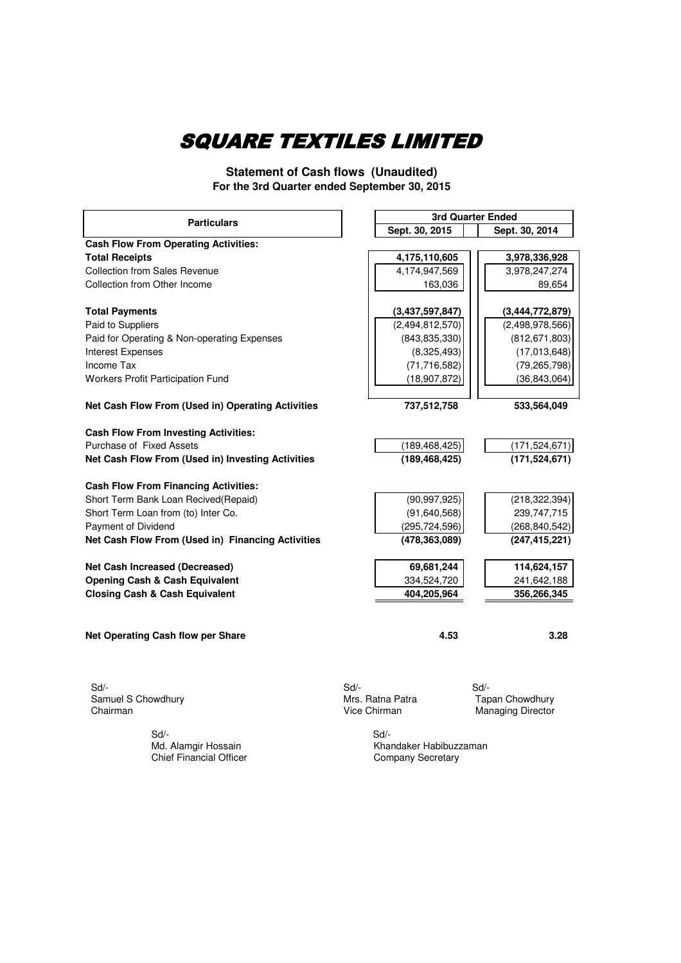**Statement of Cash flows (Unaudited) For the 3rd Quarter ended September 30, 2015**

| <b>Particulars</b>                                | <b>3rd Quarter Ended</b> |                 |                          |
|---------------------------------------------------|--------------------------|-----------------|--------------------------|
|                                                   | Sept. 30, 2015           |                 | Sept. 30, 2014           |
| <b>Cash Flow From Operating Activities:</b>       |                          |                 |                          |
| <b>Total Receipts</b>                             | 4,175,110,605            |                 | 3,978,336,928            |
| <b>Collection from Sales Revenue</b>              | 4,174,947,569            |                 | 3,978,247,274            |
| Collection from Other Income                      |                          | 163,036         | 89,654                   |
| <b>Total Payments</b>                             | (3,437,597,847)          |                 | (3,444,772,879)          |
| Paid to Suppliers                                 | (2,494,812,570)          |                 | (2,498,978,566)          |
| Paid for Operating & Non-operating Expenses       |                          | (843, 835, 330) | (812, 671, 803)          |
| Interest Expenses                                 |                          | (8,325,493)     | (17,013,648)             |
| Income Tax                                        |                          | (71, 716, 582)  | (79, 265, 798)           |
| Workers Profit Participation Fund                 |                          | (18, 907, 872)  | (36, 843, 064)           |
| Net Cash Flow From (Used in) Operating Activities |                          | 737,512,758     | 533,564,049              |
| <b>Cash Flow From Investing Activities:</b>       |                          |                 |                          |
| Purchase of Fixed Assets                          |                          | (189, 468, 425) | (171, 524, 671)          |
| Net Cash Flow From (Used in) Investing Activities |                          | (189, 468, 425) | (171, 524, 671)          |
| <b>Cash Flow From Financing Activities:</b>       |                          |                 |                          |
| Short Term Bank Loan Recived(Repaid)              |                          | (90, 997, 925)  | (218, 322, 394)          |
| Short Term Loan from (to) Inter Co.               |                          | (91, 640, 568)  | 239,747,715              |
| Payment of Dividend                               |                          | (295, 724, 596) | (268, 840, 542)          |
| Net Cash Flow From (Used in) Financing Activities |                          | (478,363,089)   | (247, 415, 221)          |
| Net Cash Increased (Decreased)                    |                          | 69,681,244      | 114,624,157              |
| <b>Opening Cash &amp; Cash Equivalent</b>         |                          | 334,524,720     | 241,642,188              |
| <b>Closing Cash &amp; Cash Equivalent</b>         |                          | 404,205,964     | 356,266,345              |
|                                                   |                          |                 |                          |
| Net Operating Cash flow per Share                 |                          | 4.53            | 3.28                     |
|                                                   |                          |                 |                          |
| $Sd$ -                                            | $Sd$ -                   |                 | Sd                       |
| Samuel S Chowdhury                                | Mrs. Ratna Patra         |                 | <b>Tapan Chowdhury</b>   |
| Chairman                                          | Vice Chirman             |                 | <b>Managing Director</b> |
| Sd                                                | Sd                       |                 |                          |
| Md. Alamgir Hossain                               | Khandaker Habibuzzaman   |                 |                          |
| <b>Chief Financial Officer</b>                    | Company Secretary        |                 |                          |